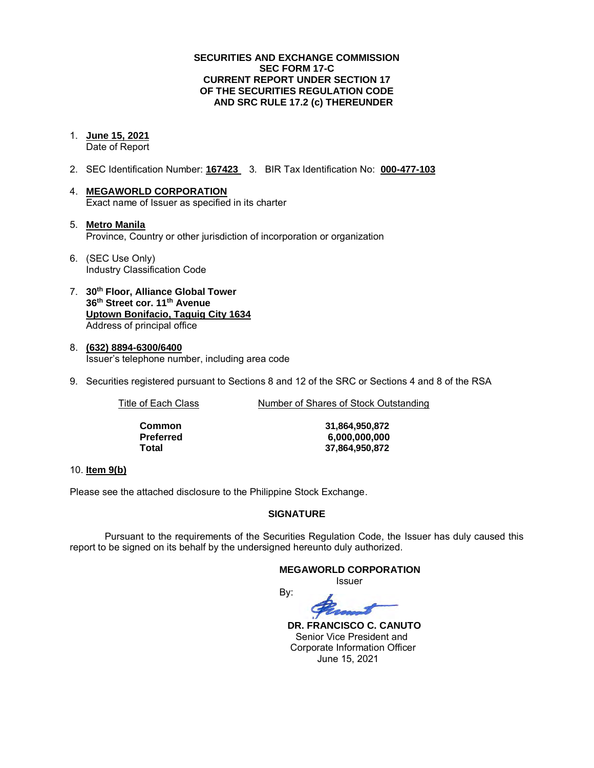### **SECURITIES AND EXCHANGE COMMISSION SEC FORM 17-C CURRENT REPORT UNDER SECTION 17 OF THE SECURITIES REGULATION CODE AND SRC RULE 17.2 (c) THEREUNDER**

- 1. **June 15, 2021** Date of Report
- 2. SEC Identification Number: **167423** 3. BIR Tax Identification No: **000-477-103**
- 4. **MEGAWORLD CORPORATION**  Exact name of Issuer as specified in its charter
- 5. **Metro Manila** Province, Country or other jurisdiction of incorporation or organization
- 6. (SEC Use Only) Industry Classification Code
- 7. **30th Floor, Alliance Global Tower 36th Street cor. 11th Avenue Uptown Bonifacio, Taguig City 1634** Address of principal office
- 8. **(632) 8894-6300/6400**  Issuer's telephone number, including area code
- 9. Securities registered pursuant to Sections 8 and 12 of the SRC or Sections 4 and 8 of the RSA

Title of Each Class Number of Shares of Stock Outstanding

| Common    | 31,864,950,872 |
|-----------|----------------|
| Preferred | 6,000,000,000  |
| Total     | 37.864.950.872 |

### 10. **Item 9(b)**

Please see the attached disclosure to the Philippine Stock Exchange.

### **SIGNATURE**

Pursuant to the requirements of the Securities Regulation Code, the Issuer has duly caused this report to be signed on its behalf by the undersigned hereunto duly authorized.

#### **MEGAWORLD CORPORATION**

*<u>Issuer</u> Issuer Issuer* 

By:

 **DR. FRANCISCO C. CANUTO**  Senior Vice President and Corporate Information Officer June 15, 2021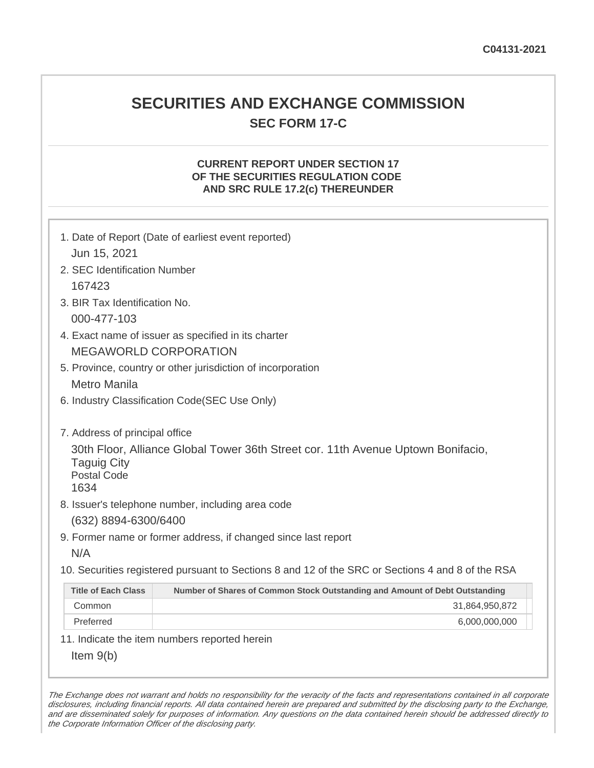# **SECURITIES AND EXCHANGE COMMISSION SEC FORM 17-C**

## **CURRENT REPORT UNDER SECTION 17 OF THE SECURITIES REGULATION CODE AND SRC RULE 17.2(c) THEREUNDER**

| Jun 15, 2021                                     | 1. Date of Report (Date of earliest event reported)                                               |
|--------------------------------------------------|---------------------------------------------------------------------------------------------------|
| 2. SEC Identification Number                     |                                                                                                   |
| 167423                                           |                                                                                                   |
| 3. BIR Tax Identification No.                    |                                                                                                   |
| 000-477-103                                      |                                                                                                   |
|                                                  | 4. Exact name of issuer as specified in its charter                                               |
|                                                  | <b>MEGAWORLD CORPORATION</b>                                                                      |
|                                                  | 5. Province, country or other jurisdiction of incorporation                                       |
| <b>Metro Manila</b>                              |                                                                                                   |
|                                                  | 6. Industry Classification Code(SEC Use Only)                                                     |
|                                                  |                                                                                                   |
| 7. Address of principal office                   |                                                                                                   |
| <b>Taguig City</b><br><b>Postal Code</b><br>1634 | 30th Floor, Alliance Global Tower 36th Street cor. 11th Avenue Uptown Bonifacio,                  |
|                                                  | 8. Issuer's telephone number, including area code                                                 |
| (632) 8894-6300/6400                             |                                                                                                   |
|                                                  | 9. Former name or former address, if changed since last report                                    |
| N/A                                              |                                                                                                   |
|                                                  | 10. Securities registered pursuant to Sections 8 and 12 of the SRC or Sections 4 and 8 of the RSA |
| <b>Title of Each Class</b>                       | Number of Shares of Common Stock Outstanding and Amount of Debt Outstanding                       |
| Common                                           | 31,864,950,872                                                                                    |
| Preferred                                        | 6,000,000,000                                                                                     |
|                                                  | 11. Indicate the item numbers reported herein                                                     |
| Item $9(b)$                                      |                                                                                                   |

The Exchange does not warrant and holds no responsibility for the veracity of the facts and representations contained in all corporate disclosures, including financial reports. All data contained herein are prepared and submitted by the disclosing party to the Exchange, and are disseminated solely for purposes of information. Any questions on the data contained herein should be addressed directly to the Corporate Information Officer of the disclosing party.